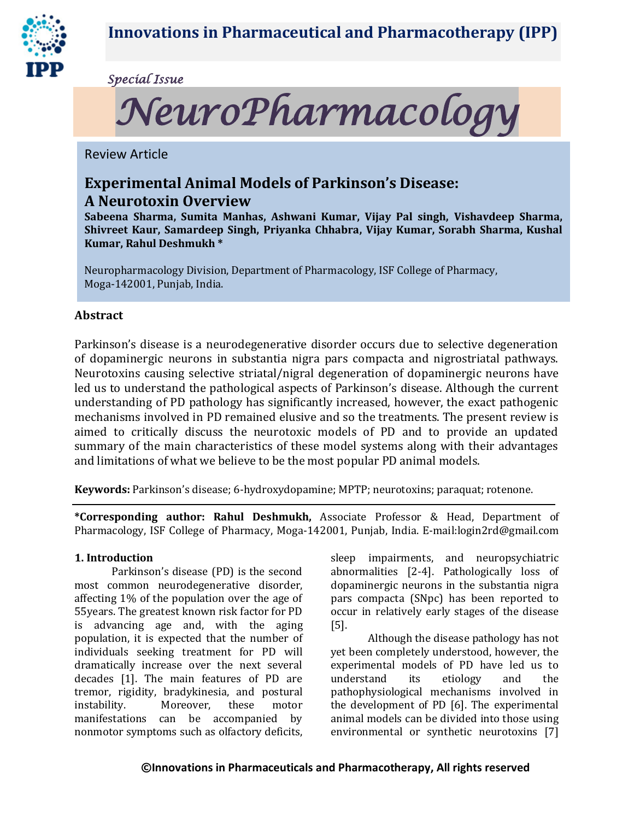

*Special Issue* 



Review Article

# **Experimental Animal Models of Parkinson's Disease:**

# **A Neurotoxin Overview**

**Sabeena Sharma, Sumita Manhas, Ashwani Kumar, Vijay Pal singh, Vishavdeep Sharma, Shivreet Kaur, Samardeep Singh, Priyanka Chhabra, Vijay Kumar, Sorabh Sharma, Kushal Kumar, Rahul Deshmukh \***

Neuropharmacology Division, Department of Pharmacology, ISF College of Pharmacy, Moga-142001, Punjab, India.

# **Abstract**

Parkinson's disease is a neurodegenerative disorder occurs due to selective degeneration of dopaminergic neurons in substantia nigra pars compacta and nigrostriatal pathways. Neurotoxins causing selective striatal/nigral degeneration of dopaminergic neurons have led us to understand the pathological aspects of Parkinson's disease. Although the current understanding of PD pathology has significantly increased, however, the exact pathogenic mechanisms involved in PD remained elusive and so the treatments. The present review is aimed to critically discuss the neurotoxic models of PD and to provide an updated summary of the main characteristics of these model systems along with their advantages and limitations of what we believe to be the most popular PD animal models.

**Keywords:** Parkinson's disease; 6-hydroxydopamine; MPTP; neurotoxins; paraquat; rotenone.

**\*Corresponding author: Rahul Deshmukh,** Associate Professor & Head, Department of Pharmacology, ISF College of Pharmacy, Moga-142001, Punjab, India. E-mail:login2rd@gmail.com

## **1. Introduction**

Parkinson's disease (PD) is the second most common neurodegenerative disorder, affecting 1% of the population over the age of 55years. The greatest known risk factor for PD is advancing age and, with the aging population, it is expected that the number of individuals seeking treatment for PD will dramatically increase over the next several decades [1]. The main features of PD are tremor, rigidity, bradykinesia, and postural instability. Moreover, these motor manifestations can be accompanied by nonmotor symptoms such as olfactory deficits,

sleep impairments, and neuropsychiatric abnormalities [2-4]. Pathologically loss of dopaminergic neurons in the substantia nigra pars compacta (SNpc) has been reported to occur in relatively early stages of the disease [5].

Although the disease pathology has not yet been completely understood, however, the experimental models of PD have led us to understand its etiology and the pathophysiological mechanisms involved in the development of PD [6]. The experimental animal models can be divided into those using environmental or synthetic neurotoxins [7]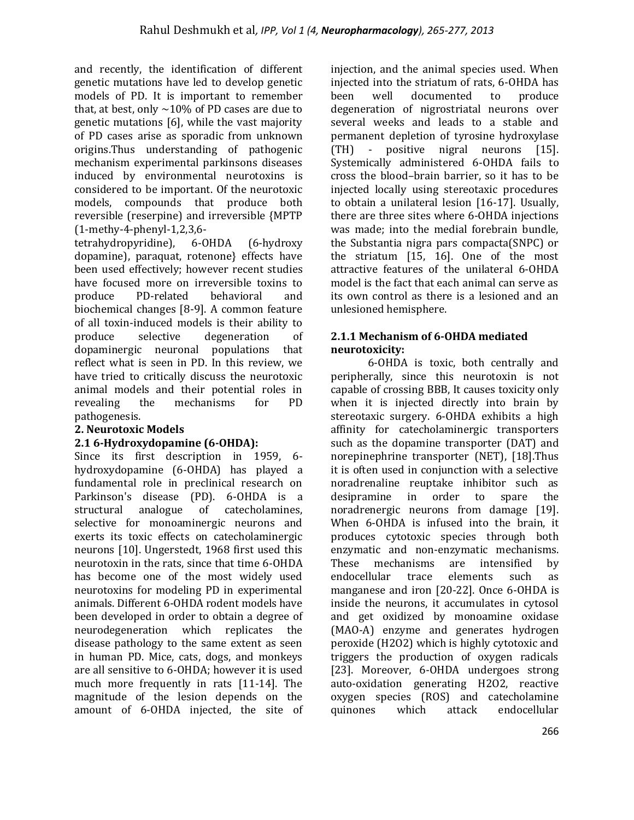and recently, the identification of different genetic mutations have led to develop genetic models of PD. It is important to remember that, at best, only  $\sim$  10% of PD cases are due to genetic mutations [6], while the vast majority of PD cases arise as sporadic from unknown origins.Thus understanding of pathogenic mechanism experimental parkinsons diseases induced by environmental neurotoxins is considered to be important. Of the neurotoxic models, compounds that produce both reversible (reserpine) and irreversible {MPTP (1-methy-4-phenyl-1,2,3,6-

tetrahydropyridine), 6-OHDA (6-hydroxy dopamine), paraquat, rotenone} effects have been used effectively; however recent studies have focused more on irreversible toxins to produce PD-related behavioral and biochemical changes [8-9]. A common feature of all toxin-induced models is their ability to produce selective degeneration of dopaminergic neuronal populations that reflect what is seen in PD. In this review, we have tried to critically discuss the neurotoxic animal models and their potential roles in revealing the mechanisms for PD pathogenesis.

# **2. Neurotoxic Models**

## **2.1 6-Hydroxydopamine (6-OHDA):**

Since its first description in 1959, 6 hydroxydopamine (6-OHDA) has played a fundamental role in preclinical research on Parkinson's disease (PD). 6-OHDA is a structural analogue of catecholamines, selective for monoaminergic neurons and exerts its toxic effects on catecholaminergic neurons [10]. Ungerstedt, 1968 first used this neurotoxin in the rats, since that time 6-OHDA has become one of the most widely used neurotoxins for modeling PD in experimental animals. Different 6-OHDA rodent models have been developed in order to obtain a degree of neurodegeneration which replicates the disease pathology to the same extent as seen in human PD. Mice, cats, dogs, and monkeys are all sensitive to 6-OHDA; however it is used much more frequently in rats [11-14]. The magnitude of the lesion depends on the amount of 6-OHDA injected, the site of injection, and the animal species used. When injected into the striatum of rats, 6-OHDA has been well documented to produce degeneration of nigrostriatal neurons over several weeks and leads to a stable and permanent depletion of tyrosine hydroxylase (TH) - positive nigral neurons [15]. Systemically administered 6-OHDA fails to cross the blood–brain barrier, so it has to be injected locally using stereotaxic procedures to obtain a unilateral lesion [16-17]. Usually, there are three sites where 6-OHDA injections was made; into the medial forebrain bundle, the Substantia nigra pars compacta(SNPC) or the striatum [15, 16]. One of the most attractive features of the unilateral 6-OHDA model is the fact that each animal can serve as its own control as there is a lesioned and an unlesioned hemisphere.

## **2.1.1 Mechanism of 6-OHDA mediated neurotoxicity:**

6-OHDA is toxic, both centrally and peripherally, since this neurotoxin is not capable of crossing BBB, It causes toxicity only when it is injected directly into brain by stereotaxic surgery. 6-OHDA exhibits a high affinity for catecholaminergic transporters such as the dopamine transporter (DAT) and norepinephrine transporter (NET), [18].Thus it is often used in conjunction with a selective noradrenaline reuptake inhibitor such as desipramine in order to spare the noradrenergic neurons from damage [19]. When 6-OHDA is infused into the brain, it produces cytotoxic species through both enzymatic and non-enzymatic mechanisms. These mechanisms are intensified by endocellular trace elements such as manganese and iron [20-22]. Once 6-OHDA is inside the neurons, it accumulates in cytosol and get oxidized by monoamine oxidase (MAO-A) enzyme and generates hydrogen peroxide (H2O2) which is highly cytotoxic and triggers the production of oxygen radicals [23]. Moreover, 6-OHDA undergoes strong auto-oxidation generating H2O2, reactive oxygen species (ROS) and catecholamine quinones which attack endocellular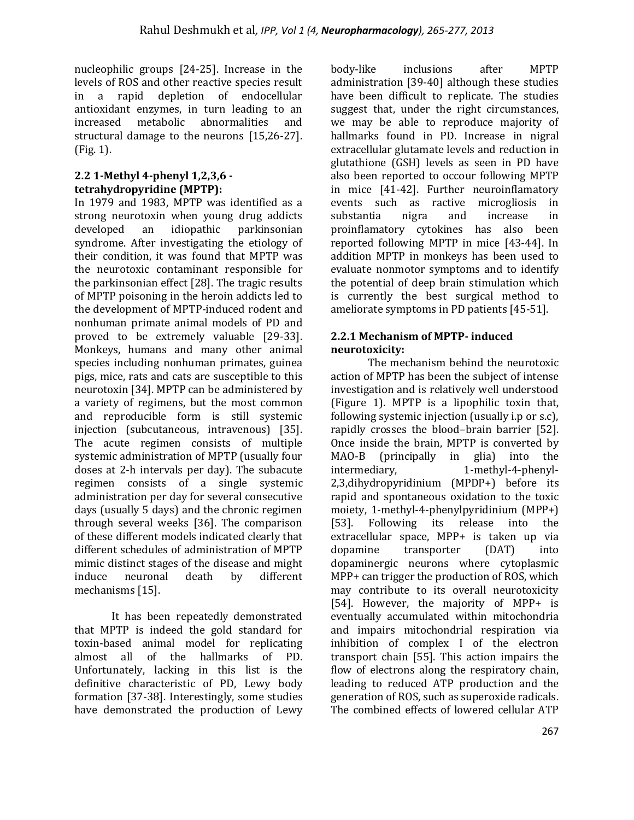nucleophilic groups [24-25]. Increase in the levels of ROS and other reactive species result in a rapid depletion of endocellular antioxidant enzymes, in turn leading to an increased metabolic abnormalities and structural damage to the neurons [15,26-27]. (Fig. 1).

## **2.2 1-Methyl 4-phenyl 1,2,3,6 tetrahydropyridine (MPTP):**

In 1979 and 1983, MPTP was identified as a strong neurotoxin when young drug addicts developed an idiopathic parkinsonian syndrome. After investigating the etiology of their condition, it was found that MPTP was the neurotoxic contaminant responsible for the parkinsonian effect [28]. The tragic results of MPTP poisoning in the heroin addicts led to the development of MPTP-induced rodent and nonhuman primate animal models of PD and proved to be extremely valuable [29-33]. Monkeys, humans and many other animal species including nonhuman primates, guinea pigs, mice, rats and cats are susceptible to this neurotoxin [34]. MPTP can be administered by a variety of regimens, but the most common and reproducible form is still systemic injection (subcutaneous, intravenous) [35]. The acute regimen consists of multiple systemic administration of MPTP (usually four doses at 2-h intervals per day). The subacute regimen consists of a single systemic administration per day for several consecutive days (usually 5 days) and the chronic regimen through several weeks [36]. The comparison of these different models indicated clearly that different schedules of administration of MPTP mimic distinct stages of the disease and might induce neuronal death by different mechanisms [15].

It has been repeatedly demonstrated that MPTP is indeed the gold standard for toxin-based animal model for replicating almost all of the hallmarks of PD. Unfortunately, lacking in this list is the definitive characteristic of PD, Lewy body formation [37-38]. Interestingly, some studies have demonstrated the production of Lewy

body-like inclusions after MPTP administration [39-40] although these studies have been difficult to replicate. The studies suggest that, under the right circumstances, we may be able to reproduce majority of hallmarks found in PD. Increase in nigral extracellular glutamate levels and reduction in glutathione (GSH) levels as seen in PD have also been reported to occour following MPTP in mice [41-42]. Further neuroinflamatory events such as ractive microgliosis in substantia nigra and increase in proinflamatory cytokines has also been reported following MPTP in mice [43-44]. In addition MPTP in monkeys has been used to evaluate nonmotor symptoms and to identify the potential of deep brain stimulation which is currently the best surgical method to ameliorate symptoms in PD patients [45-51].

## **2.2.1 Mechanism of MPTP- induced neurotoxicity:**

The mechanism behind the neurotoxic action of MPTP has been the subject of intense investigation and is relatively well understood (Figure 1). MPTP is a lipophilic toxin that, following systemic injection (usually i.p or s.c), rapidly crosses the blood–brain barrier [52]. Once inside the brain, MPTP is converted by MAO-B (principally in glia) into the intermediary, 1-methyl-4-phenyl-2,3,dihydropyridinium (MPDP+) before its rapid and spontaneous oxidation to the toxic moiety, 1-methyl-4-phenylpyridinium (MPP+) [53]. Following its release into the extracellular space, MPP+ is taken up via dopamine transporter (DAT) into dopaminergic neurons where cytoplasmic MPP+ can trigger the production of ROS, which may contribute to its overall neurotoxicity [54]. However, the majority of MPP+ is eventually accumulated within mitochondria and impairs mitochondrial respiration via inhibition of complex I of the electron transport chain [55]. This action impairs the flow of electrons along the respiratory chain. leading to reduced ATP production and the generation of ROS, such as superoxide radicals. The combined effects of lowered cellular ATP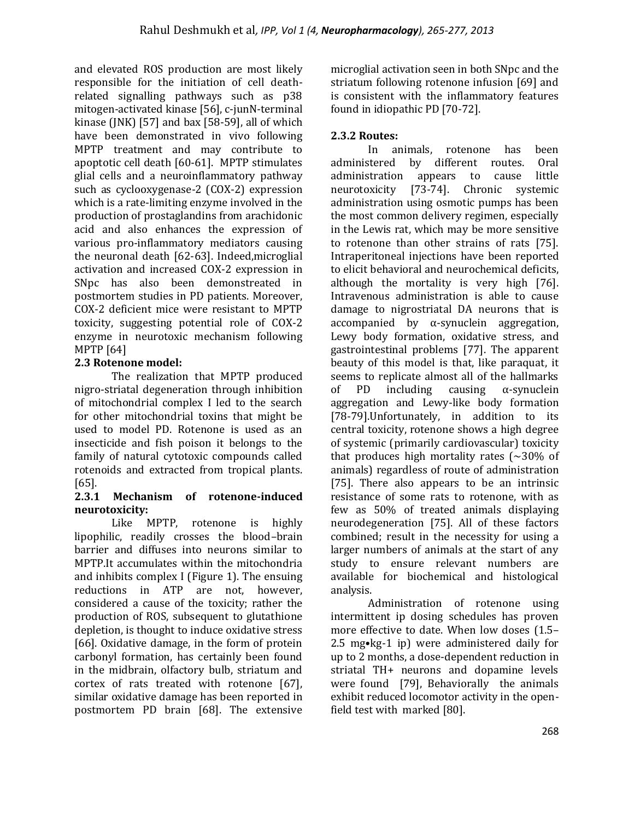and elevated ROS production are most likely responsible for the initiation of cell deathrelated signalling pathways such as p38 mitogen-activated kinase [56], c-junN-terminal kinase (JNK) [57] and bax [58-59], all of which have been demonstrated in vivo following MPTP treatment and may contribute to apoptotic cell death [60-61]. MPTP stimulates glial cells and a neuroinflammatory pathway such as cyclooxygenase-2 (COX-2) expression which is a rate-limiting enzyme involved in the production of prostaglandins from arachidonic acid and also enhances the expression of various pro-inflammatory mediators causing the neuronal death [62-63]. Indeed,microglial activation and increased COX-2 expression in SNpc has also been demonstreated in postmortem studies in PD patients. Moreover, COX-2 deficient mice were resistant to MPTP toxicity, suggesting potential role of COX-2 enzyme in neurotoxic mechanism following MPTP [64]

# **2.3 Rotenone model:**

The realization that MPTP produced nigro-striatal degeneration through inhibition of mitochondrial complex I led to the search for other mitochondrial toxins that might be used to model PD. Rotenone is used as an insecticide and fish poison it belongs to the family of natural cytotoxic compounds called rotenoids and extracted from tropical plants. [65].

## **2.3.1 Mechanism of rotenone-induced neurotoxicity:**

Like MPTP, rotenone is highly lipophilic, readily crosses the blood–brain barrier and diffuses into neurons similar to MPTP.It accumulates within the mitochondria and inhibits complex I (Figure 1). The ensuing reductions in ATP are not, however, considered a cause of the toxicity; rather the production of ROS, subsequent to glutathione depletion, is thought to induce oxidative stress [66]. Oxidative damage, in the form of protein carbonyl formation, has certainly been found in the midbrain, olfactory bulb, striatum and cortex of rats treated with rotenone [67], similar oxidative damage has been reported in postmortem PD brain [68]. The extensive microglial activation seen in both SNpc and the striatum following rotenone infusion [69] and is consistent with the inflammatory features found in idiopathic PD [70-72].

# **2.3.2 Routes:**

In animals, rotenone has been administered by different routes. Oral administration appears to cause little neurotoxicity [73-74]. Chronic systemic administration using osmotic pumps has been the most common delivery regimen, especially in the Lewis rat, which may be more sensitive to rotenone than other strains of rats [75]. Intraperitoneal injections have been reported to elicit behavioral and neurochemical deficits, although the mortality is very high [76]. Intravenous administration is able to cause damage to nigrostriatal DA neurons that is accompanied by  $\alpha$ -synuclein aggregation, Lewy body formation, oxidative stress, and gastrointestinal problems [77]. The apparent beauty of this model is that, like paraquat, it seems to replicate almost all of the hallmarks of PD including causing α-synuclein aggregation and Lewy-like body formation [78-79].Unfortunately, in addition to its central toxicity, rotenone shows a high degree of systemic (primarily cardiovascular) toxicity that produces high mortality rates  $($  ~30% of animals) regardless of route of administration [75]. There also appears to be an intrinsic resistance of some rats to rotenone, with as few as 50% of treated animals displaying neurodegeneration [75]. All of these factors combined; result in the necessity for using a larger numbers of animals at the start of any study to ensure relevant numbers are available for biochemical and histological analysis.

Administration of rotenone using intermittent ip dosing schedules has proven more effective to date. When low doses (1.5– 2.5 mg•kg-1 ip) were administered daily for up to 2 months, a dose-dependent reduction in striatal TH+ neurons and dopamine levels were found [79], Behaviorally the animals exhibit reduced locomotor activity in the openfield test with marked [80].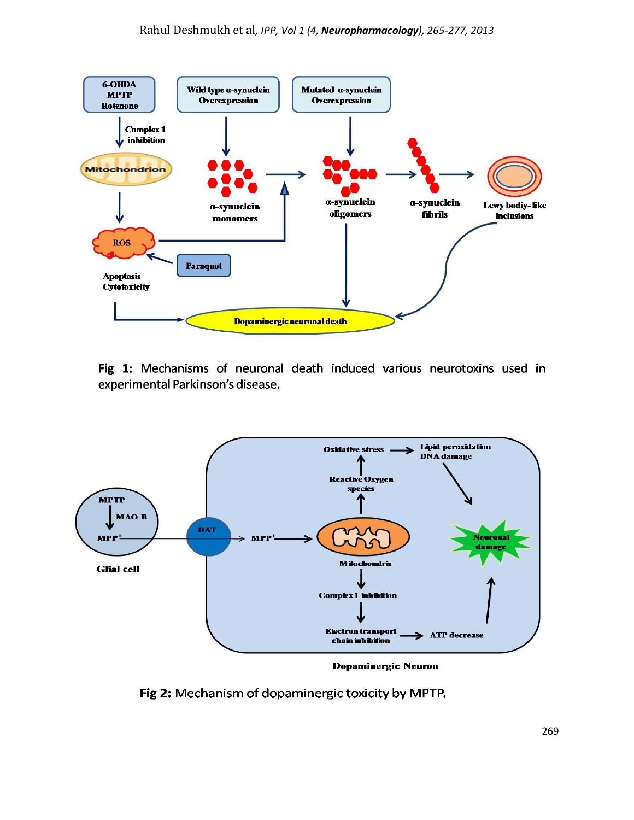

Fig 1: Mechanisms of neuronal death induced various neurotoxins used in experimental Parkinson's disease.



**Dopaminergic Neuron** 

Fig 2: Mechanism of dopaminergic toxicity by MPTP.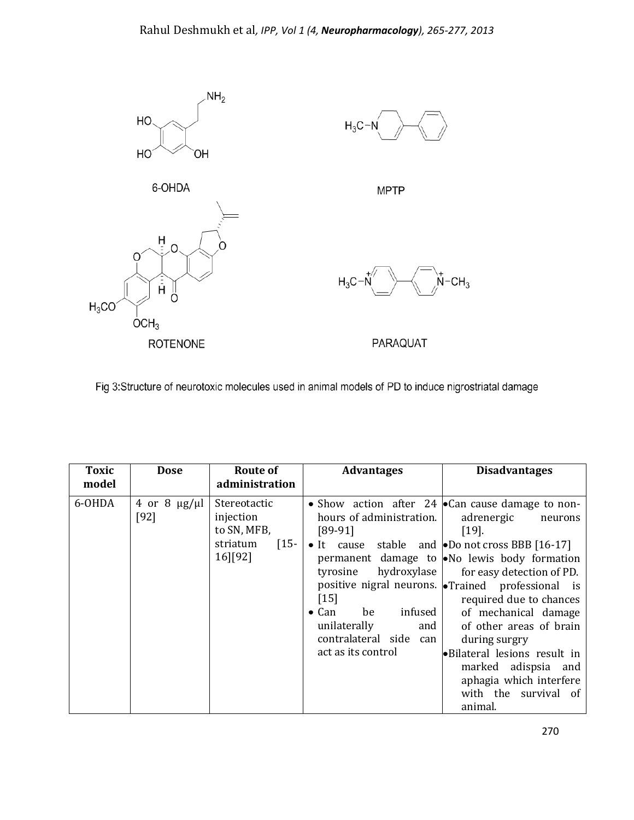

Fig 3:Structure of neurotoxic molecules used in animal models of PD to induce nigrostriatal damage

| <b>Toxic</b><br>model | <b>Dose</b>                       | Route of<br>administration                                                              | <b>Advantages</b>                                                                                                                                          | <b>Disadvantages</b>                                                                                                                                                                                                                                                                                                                                                                                                                                                                                                                    |
|-----------------------|-----------------------------------|-----------------------------------------------------------------------------------------|------------------------------------------------------------------------------------------------------------------------------------------------------------|-----------------------------------------------------------------------------------------------------------------------------------------------------------------------------------------------------------------------------------------------------------------------------------------------------------------------------------------------------------------------------------------------------------------------------------------------------------------------------------------------------------------------------------------|
| 6-OHDA                | 4 or 8 $\mu$ g/ $\mu$ l<br>$[92]$ | Stereotactic<br>injection<br>to SN, MFB,<br>striatum<br>$\lceil 15 - \rceil$<br>16][92] | hours of administration.<br>$[89-91]$<br>$[15]$<br>infused<br>$\bullet$ Can<br>be<br>unilaterally<br>and  <br>contralateral side can<br>act as its control | • Show action after 24 $\bullet$ Can cause damage to non-<br>adrenergic<br>neurons<br>$[19]$ .<br>• It cause stable and <b>•</b> Do not cross BBB [16-17]<br>permanent damage to No lewis body formation<br>tyrosine hydroxylase   for easy detection of PD.<br>positive nigral neurons. • Trained professional is<br>required due to chances<br>of mechanical damage<br>of other areas of brain<br>during surgry<br>• Bilateral lesions result in<br>marked adispsia and<br>aphagia which interfere<br>with the survival of<br>animal. |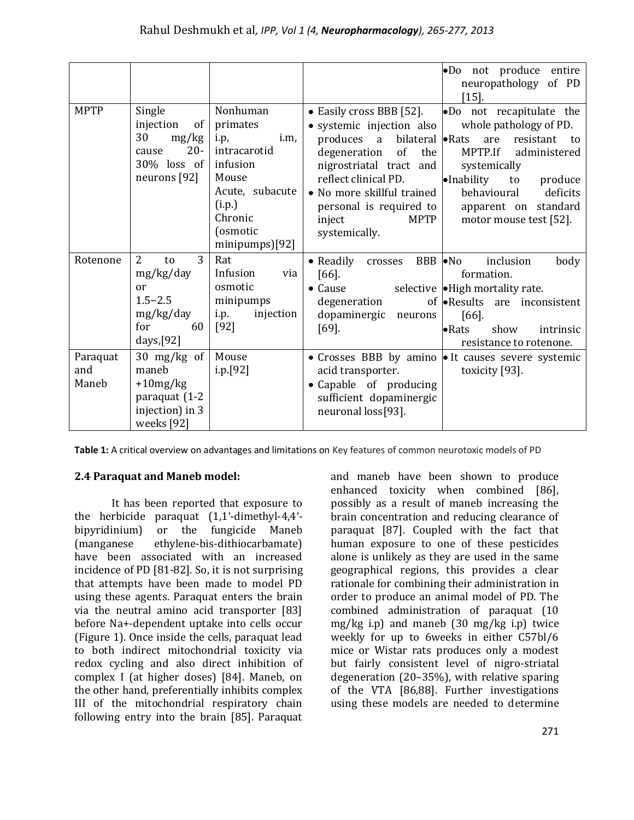|                          |                                                                                                       |                                                                                                                                                 | •Do not produce entire<br>neuropathology of PD<br>$[15].$                                                                                                                                                                                                                                                                                                                                                                                                                              |                           |
|--------------------------|-------------------------------------------------------------------------------------------------------|-------------------------------------------------------------------------------------------------------------------------------------------------|----------------------------------------------------------------------------------------------------------------------------------------------------------------------------------------------------------------------------------------------------------------------------------------------------------------------------------------------------------------------------------------------------------------------------------------------------------------------------------------|---------------------------|
| <b>MPTP</b>              | Single<br>injection<br>of<br>30<br>mg/kg<br>$20 -$<br>cause<br>$30\%$ loss of<br>neurons [92]         | Nonhuman<br>primates<br>i.m,<br>i.p,<br>intracarotid<br>infusion<br>Mouse<br>Acute, subacute<br>(i.p.)<br>Chronic<br>(osmotic<br>minipumps)[92] | • Easily cross BBB [52].<br>.Do not recapitulate the<br>whole pathology of PD.<br>· systemic injection also<br>bilateral • Rats<br>produces a<br>are<br>resistant<br>of<br>MPTP.If<br>degeneration<br>the<br>administered<br>nigrostriatal tract and<br>systemically<br>reflect clinical PD.<br>$\bullet$ Inability<br>to<br>• No more skillful trained<br>behavioural<br>personal is required to<br>apparent on standard<br>inject<br>MPTP<br>motor mouse test [52].<br>systemically. | to<br>produce<br>deficits |
| Rotenone                 | 3<br>$\overline{2}$<br>to<br>mg/kg/day<br>or<br>$1.5 - 2.5$<br>mg/kg/day<br>for<br>60<br>days, $[92]$ | Rat<br>Infusion<br>via<br>osmotic<br>minipumps<br>injection<br>i.p.<br>$[92]$                                                                   | $\bullet$ Readily<br>BBB • No<br>inclusion<br>crosses<br>$[66]$ .<br>formation.<br>selective • High mortality rate.<br>$\bullet$ Cause<br>degeneration<br>of $\bullet$ Results are inconsistent<br>dopaminergic<br>$[66]$ .<br>neurons<br>$[69]$ .<br>$\bullet$ Rats<br>show<br>resistance to rotenone.                                                                                                                                                                                | body<br>intrinsic         |
| Paraquat<br>and<br>Maneb | 30 mg/kg of<br>maneb<br>$+10mg/kg$<br>paraquat (1-2<br>injection) in 3<br>weeks [92]                  | Mouse<br>i.p.[92]                                                                                                                               | • Crosses BBB by amino • It causes severe systemic<br>acid transporter.<br>toxicity [93].<br>• Capable of producing<br>sufficient dopaminergic<br>neuronal loss[93].                                                                                                                                                                                                                                                                                                                   |                           |

**Table 1:** A critical overview on advantages and limitations on Key features of common neurotoxic models of PD

## **2.4 Paraquat and Maneb model:**

It has been reported that exposure to the herbicide paraquat (1,1′-dimethyl-4,4′ bipyridinium) or the fungicide Maneb (manganese ethylene-bis-dithiocarbamate) have been associated with an increased incidence of PD [81-82]. So, it is not surprising that attempts have been made to model PD using these agents. Paraquat enters the brain via the neutral amino acid transporter [83] before Na+-dependent uptake into cells occur (Figure 1). Once inside the cells, paraquat lead to both indirect mitochondrial toxicity via redox cycling and also direct inhibition of complex I (at higher doses) [84]. Maneb, on the other hand, preferentially inhibits complex III of the mitochondrial respiratory chain following entry into the brain [85]. Paraquat

and maneb have been shown to produce enhanced toxicity when combined [86], possibly as a result of maneb increasing the brain concentration and reducing clearance of paraquat [87]. Coupled with the fact that human exposure to one of these pesticides alone is unlikely as they are used in the same geographical regions, this provides a clear rationale for combining their administration in order to produce an animal model of PD. The combined administration of paraquat (10 mg/kg i.p) and maneb (30 mg/kg i.p) twice weekly for up to 6weeks in either C57bl/6 mice or Wistar rats produces only a modest but fairly consistent level of nigro-striatal degeneration (20–35%), with relative sparing of the VTA [86,88]. Further investigations using these models are needed to determine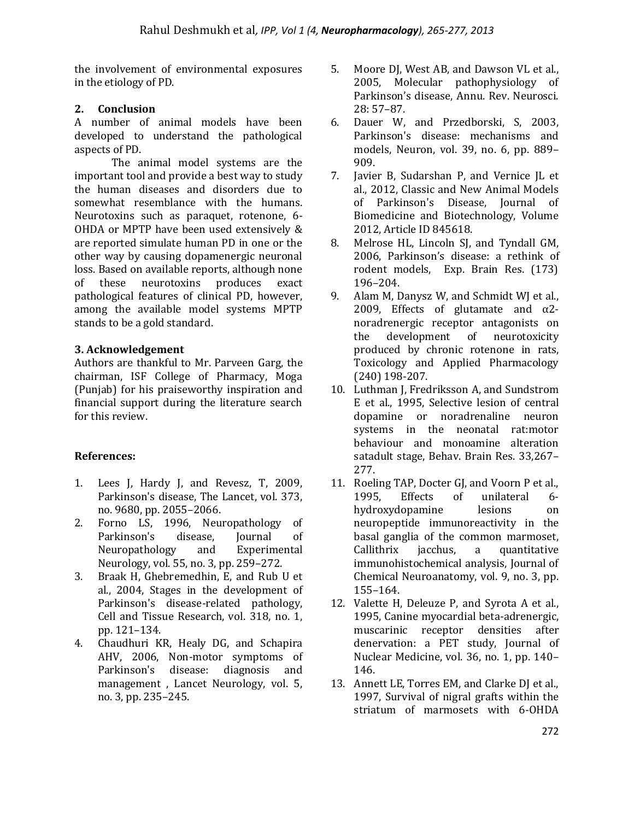the involvement of environmental exposures in the etiology of PD.

## **2. Conclusion**

A number of animal models have been developed to understand the pathological aspects of PD.

The animal model systems are the important tool and provide a best way to study the human diseases and disorders due to somewhat resemblance with the humans. Neurotoxins such as paraquet, rotenone, 6- OHDA or MPTP have been used extensively & are reported simulate human PD in one or the other way by causing dopamenergic neuronal loss. Based on available reports, although none of these neurotoxins produces exact pathological features of clinical PD, however, among the available model systems MPTP stands to be a gold standard.

# **3. Acknowledgement**

Authors are thankful to Mr. Parveen Garg, the chairman, ISF College of Pharmacy, Moga (Punjab) for his praiseworthy inspiration and financial support during the literature search for this review.

# **References:**

- 1. Lees J, Hardy J, and Revesz, T, 2009, Parkinson's disease, The Lancet, vol. 373, no. 9680, pp. 2055–2066.
- 2. Forno LS, 1996, Neuropathology of Parkinson's disease, Journal of Neuropathology and Experimental Neurology, vol. 55, no. 3, pp. 259–272.
- 3. Braak H, Ghebremedhin, E, and Rub U et al., 2004, Stages in the development of Parkinson's disease-related pathology, Cell and Tissue Research, vol. 318, no. 1, pp. 121–134.
- 4. Chaudhuri KR, Healy DG, and Schapira AHV, 2006, Non-motor symptoms of Parkinson's disease: diagnosis and management , Lancet Neurology, vol. 5, no. 3, pp. 235–245.
- 5. Moore DJ, West AB, and Dawson VL et al., 2005, Molecular pathophysiology of Parkinson's disease, Annu. Rev. Neurosci. 28: 57–87.
- 6. Dauer W, and Przedborski, S, 2003, Parkinson's disease: mechanisms and models, Neuron, vol. 39, no. 6, pp. 889– 909.
- 7. Javier B, Sudarshan P, and Vernice JL et al., 2012, Classic and New Animal Models of Parkinson's Disease, Journal of Biomedicine and Biotechnology, Volume 2012, Article ID 845618.
- 8. Melrose HL, Lincoln SJ, and Tyndall GM, 2006, Parkinson's disease: a rethink of rodent models, Exp. Brain Res. (173) 196–204.
- 9. Alam M, Danysz W, and Schmidt WJ et al., 2009, Effects of glutamate and  $\alpha$ 2noradrenergic receptor antagonists on the development of neurotoxicity produced by chronic rotenone in rats, Toxicology and Applied Pharmacology (240) 198-207.
- 10. Luthman J, Fredriksson A, and Sundstrom E et al., 1995, Selective lesion of central dopamine or noradrenaline neuron systems in the neonatal rat:motor behaviour and monoamine alteration satadult stage, Behav. Brain Res. 33,267– 277.
- 11. Roeling TAP, Docter GJ, and Voorn P et al., 1995, Effects of unilateral 6 hydroxydopamine lesions on neuropeptide immunoreactivity in the basal ganglia of the common marmoset, Callithrix jacchus, a quantitative immunohistochemical analysis, Journal of Chemical Neuroanatomy, vol. 9, no. 3, pp. 155–164.
- 12. Valette H, Deleuze P, and Syrota A et al., 1995, Canine myocardial beta-adrenergic, muscarinic receptor densities after denervation: a PET study, Journal of Nuclear Medicine, vol. 36, no. 1, pp. 140– 146.
- 13. Annett LE, Torres EM, and Clarke DJ et al., 1997, Survival of nigral grafts within the striatum of marmosets with 6-OHDA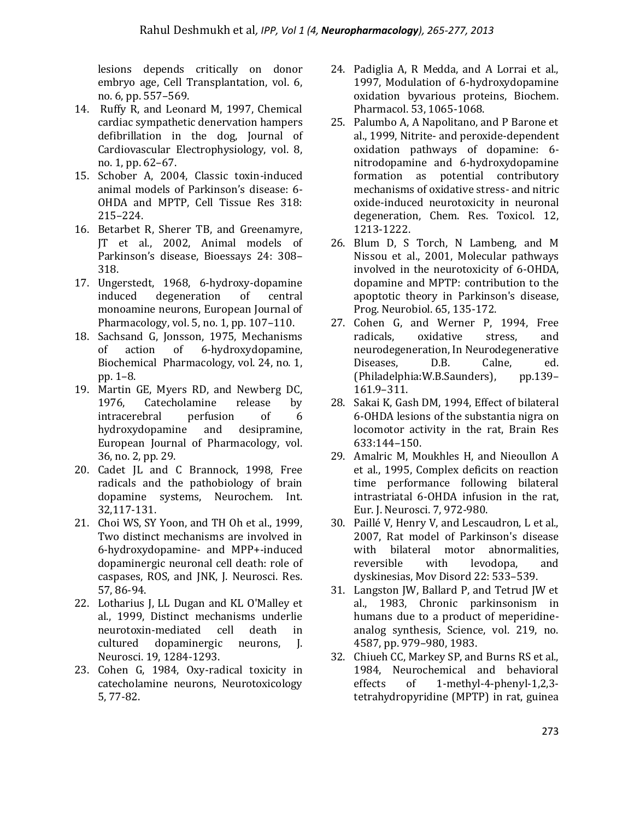lesions depends critically on donor embryo age, Cell Transplantation, vol. 6, no. 6, pp. 557–569.

- 14. Ruffy R, and Leonard M, 1997, Chemical cardiac sympathetic denervation hampers defibrillation in the dog, Journal of Cardiovascular Electrophysiology, vol. 8, no. 1, pp. 62–67.
- 15. Schober A, 2004, Classic toxin-induced animal models of Parkinson's disease: 6- OHDA and MPTP, Cell Tissue Res 318: 215–224.
- 16. Betarbet R, Sherer TB, and Greenamyre, JT et al., 2002, Animal models of Parkinson's disease, Bioessays 24: 308– 318.
- 17. Ungerstedt, 1968, 6-hydroxy-dopamine induced degeneration of central monoamine neurons, European Journal of Pharmacology, vol. 5, no. 1, pp. 107–110.
- 18. Sachsand G, Jonsson, 1975, Mechanisms of action of 6-hydroxydopamine, Biochemical Pharmacology, vol. 24, no. 1, pp. 1–8.
- 19. Martin GE, Myers RD, and Newberg DC, 1976, Catecholamine release by intracerebral perfusion of 6 hydroxydopamine and desipramine, European Journal of Pharmacology, vol. 36, no. 2, pp. 29.
- 20. Cadet JL and C Brannock, 1998, Free radicals and the pathobiology of brain dopamine systems, Neurochem. Int. 32,117-131.
- 21. Choi WS, SY Yoon, and TH Oh et al., 1999, Two distinct mechanisms are involved in 6-hydroxydopamine- and MPP+-induced dopaminergic neuronal cell death: role of caspases, ROS, and JNK, J. Neurosci. Res. 57, 86-94.
- 22. Lotharius J, LL Dugan and KL O'Malley et al., 1999, Distinct mechanisms underlie neurotoxin-mediated cell death in cultured dopaminergic neurons, J. Neurosci. 19, 1284-1293.
- 23. Cohen G, 1984, Oxy-radical toxicity in catecholamine neurons, Neurotoxicology 5, 77-82.
- 24. Padiglia A, R Medda, and A Lorrai et al., 1997, Modulation of 6-hydroxydopamine oxidation byvarious proteins, Biochem. Pharmacol. 53, 1065-1068.
- 25. Palumbo A, A Napolitano, and P Barone et al., 1999, Nitrite- and peroxide-dependent oxidation pathways of dopamine: 6 nitrodopamine and 6-hydroxydopamine formation as potential contributory mechanisms of oxidative stress- and nitric oxide-induced neurotoxicity in neuronal degeneration, Chem. Res. Toxicol. 12, 1213-1222.
- 26. Blum D, S Torch, N Lambeng, and M Nissou et al., 2001, Molecular pathways involved in the neurotoxicity of 6-OHDA, dopamine and MPTP: contribution to the apoptotic theory in Parkinson's disease, Prog. Neurobiol. 65, 135-172.
- 27. Cohen G, and Werner P, 1994, Free radicals, oxidative stress, and neurodegeneration, In Neurodegenerative Diseases, D.B. Calne, ed. (Philadelphia: W.B. Saunders), pp.139-161.9–311.
- 28. Sakai K, Gash DM, 1994, Effect of bilateral 6-OHDA lesions of the substantia nigra on locomotor activity in the rat, Brain Res 633:144–150.
- 29. Amalric M, Moukhles H, and Nieoullon A et al., 1995, Complex deficits on reaction time performance following bilateral intrastriatal 6-OHDA infusion in the rat, Eur. J. Neurosci. 7, 972-980.
- 30. Paillé V, Henry V, and Lescaudron, L et al., 2007, Rat model of Parkinson's disease with bilateral motor abnormalities, reversible with levodopa, and dyskinesias, Mov Disord 22: 533–539.
- 31. Langston JW, Ballard P, and Tetrud JW et al., 1983, Chronic parkinsonism in humans due to a product of meperidineanalog synthesis, Science, vol. 219, no. 4587, pp. 979–980, 1983.
- 32. Chiueh CC, Markey SP, and Burns RS et al., 1984, Neurochemical and behavioral effects of 1-methyl-4-phenyl-1,2,3 tetrahydropyridine (MPTP) in rat, guinea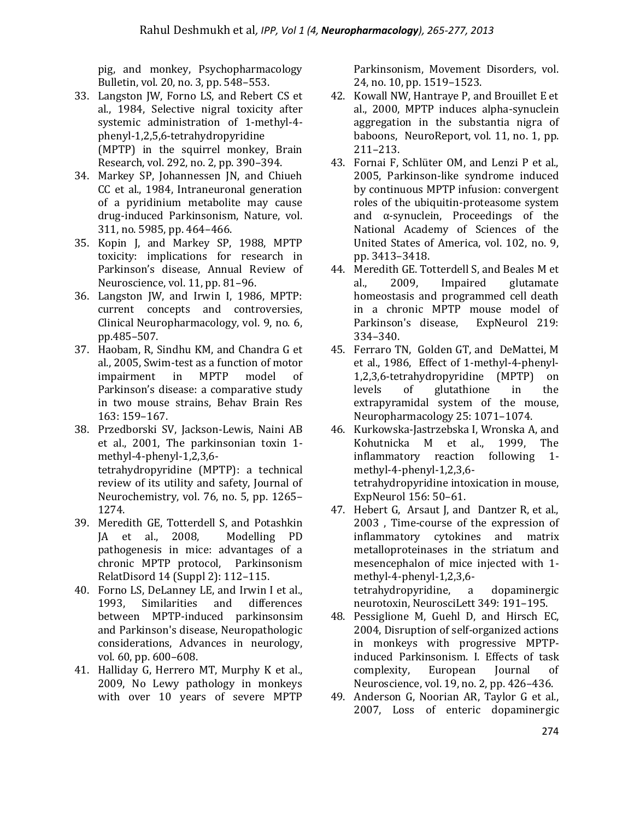pig, and monkey, Psychopharmacology Bulletin, vol. 20, no. 3, pp. 548–553.

- 33. Langston JW, Forno LS, and Rebert CS et al., 1984, Selective nigral toxicity after systemic administration of 1-methyl-4 phenyl-1,2,5,6-tetrahydropyridine (MPTP) in the squirrel monkey, Brain Research, vol. 292, no. 2, pp. 390–394.
- 34. Markey SP, Johannessen JN, and Chiueh CC et al., 1984, Intraneuronal generation of a pyridinium metabolite may cause drug-induced Parkinsonism, Nature, vol. 311, no. 5985, pp. 464–466.
- 35. Kopin J, and Markey SP, 1988, MPTP toxicity: implications for research in Parkinson's disease, Annual Review of Neuroscience, vol. 11, pp. 81–96.
- 36. Langston JW, and Irwin I, 1986, MPTP: current concepts and controversies, Clinical Neuropharmacology, vol. 9, no. 6, pp.485–507.
- 37. Haobam, R, Sindhu KM, and Chandra G et al., 2005, Swim-test as a function of motor impairment in MPTP model of Parkinson's disease: a comparative study in two mouse strains, Behav Brain Res 163: 159–167.
- 38. Przedborski SV, Jackson-Lewis, Naini AB et al., 2001, The parkinsonian toxin 1 methyl-4-phenyl-1,2,3,6 tetrahydropyridine (MPTP): a technical review of its utility and safety, Journal of Neurochemistry, vol. 76, no. 5, pp. 1265– 1274.
- 39. Meredith GE, Totterdell S, and Potashkin JA et al., 2008, Modelling PD pathogenesis in mice: advantages of a chronic MPTP protocol, Parkinsonism RelatDisord 14 (Suppl 2): 112–115.
- 40. Forno LS, DeLanney LE, and Irwin I et al., 1993, Similarities and differences between MPTP-induced parkinsonsim and Parkinson's disease, Neuropathologic considerations, Advances in neurology, vol. 60, pp. 600–608.
- 41. Halliday G, Herrero MT, Murphy K et al., 2009, No Lewy pathology in monkeys with over 10 years of severe MPTP

Parkinsonism, Movement Disorders, vol. 24, no. 10, pp. 1519–1523.

- 42. Kowall NW, Hantraye P, and Brouillet E et al., 2000, MPTP induces alpha-synuclein aggregation in the substantia nigra of baboons, NeuroReport, vol. 11, no. 1, pp. 211–213.
- 43. Fornai F, Schlüter OM, and Lenzi P et al., 2005, Parkinson-like syndrome induced by continuous MPTP infusion: convergent roles of the ubiquitin-proteasome system and  $\alpha$ -synuclein, Proceedings of the National Academy of Sciences of the United States of America, vol. 102, no. 9, pp. 3413–3418.
- 44. Meredith GE. Totterdell S, and Beales M et al., 2009, Impaired glutamate homeostasis and programmed cell death in a chronic MPTP mouse model of Parkinson's disease, ExpNeurol 219: 334–340.
- 45. Ferraro TN, Golden GT, and DeMattei, M et al., 1986, Effect of 1-methyl-4-phenyl-1,2,3,6-tetrahydropyridine (MPTP) on levels of glutathione in the extrapyramidal system of the mouse, Neuropharmacology 25: 1071–1074.
- 46. Kurkowska-Jastrzebska I, Wronska A, and Kohutnicka M et al., 1999, The inflammatory reaction following 1 methyl-4-phenyl-1,2,3,6 tetrahydropyridine intoxication in mouse, ExpNeurol 156: 50–61.
- 47. Hebert G, Arsaut J, and Dantzer R, et al., 2003 , Time-course of the expression of inflammatory cytokines and matrix metalloproteinases in the striatum and mesencephalon of mice injected with 1 methyl-4-phenyl-1,2,3,6 tetrahydropyridine, a dopaminergic neurotoxin, NeurosciLett 349: 191–195.
- 48. Pessiglione M, Guehl D, and Hirsch EC, 2004, Disruption of self-organized actions in monkeys with progressive MPTPinduced Parkinsonism. I. Effects of task complexity, European Journal of Neuroscience, vol. 19, no. 2, pp. 426–436.
- 49. Anderson G, Noorian AR, Taylor G et al., 2007, Loss of enteric dopaminergic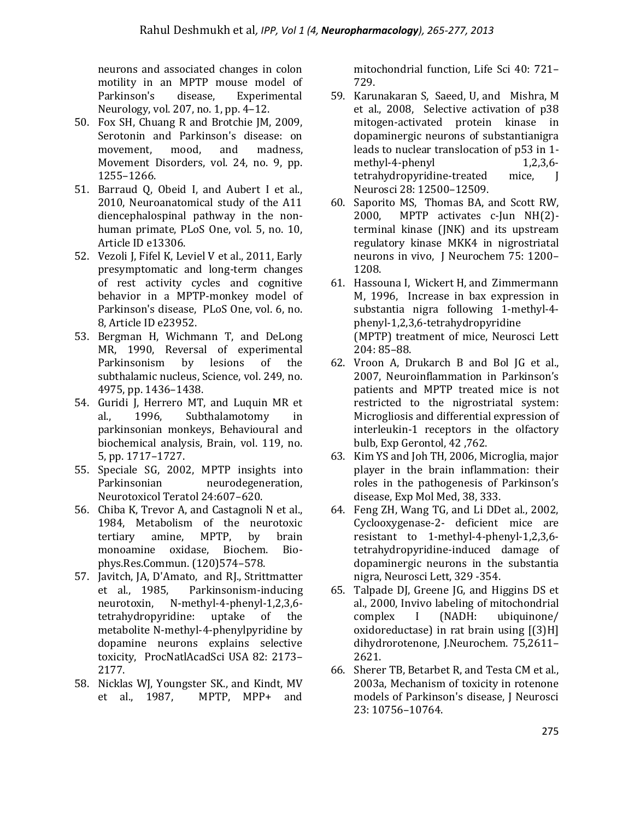neurons and associated changes in colon motility in an MPTP mouse model of Parkinson's disease, Experimental Neurology, vol. 207, no. 1, pp. 4–12.

- 50. Fox SH, Chuang R and Brotchie JM, 2009, Serotonin and Parkinson's disease: on movement, mood, and madness, Movement Disorders, vol. 24, no. 9, pp. 1255–1266.
- 51. Barraud Q, Obeid I, and Aubert I et al., 2010, Neuroanatomical study of the A11 diencephalospinal pathway in the nonhuman primate, PLoS One, vol. 5, no. 10, Article ID e13306.
- 52. Vezoli J, Fifel K, Leviel V et al., 2011, Early presymptomatic and long-term changes of rest activity cycles and cognitive behavior in a MPTP-monkey model of Parkinson's disease, PLoS One, vol. 6, no. 8, Article ID e23952.
- 53. Bergman H, Wichmann T, and DeLong MR, 1990, Reversal of experimental Parkinsonism by lesions of the subthalamic nucleus, Science, vol. 249, no. 4975, pp. 1436–1438.
- 54. Guridi J, Herrero MT, and Luquin MR et al., 1996, Subthalamotomy in parkinsonian monkeys, Behavioural and biochemical analysis, Brain, vol. 119, no. 5, pp. 1717–1727.
- 55. Speciale SG, 2002, MPTP insights into Parkinsonian neurodegeneration, Neurotoxicol Teratol 24:607–620.
- 56. Chiba K, Trevor A, and Castagnoli N et al., 1984, Metabolism of the neurotoxic tertiary amine, MPTP, by brain monoamine oxidase, Biochem. Biophys.Res.Commun. (120)574–578.
- 57. Javitch, JA, D'Amato, and RJ., Strittmatter et al., 1985, Parkinsonism-inducing neurotoxin, N-methyl-4-phenyl-1,2,3,6 tetrahydropyridine: uptake of the metabolite N-methyl-4-phenylpyridine by dopamine neurons explains selective toxicity, ProcNatlAcadSci USA 82: 2173– 2177.
- 58. Nicklas WJ, Youngster SK., and Kindt, MV et al., 1987, MPTP, MPP+ and

mitochondrial function, Life Sci 40: 721– 729.

- 59. Karunakaran S, Saeed, U, and Mishra, M et al., 2008, Selective activation of p38 mitogen-activated protein kinase in dopaminergic neurons of substantianigra leads to nuclear translocation of p53 in 1  $methyl-4-phenyl$  1,2,3,6tetrahydropyridine-treated mice, J Neurosci 28: 12500–12509.
- 60. Saporito MS, Thomas BA, and Scott RW, 2000, MPTP activates c-Jun NH(2) terminal kinase (JNK) and its upstream regulatory kinase MKK4 in nigrostriatal neurons in vivo, J Neurochem 75: 1200– 1208.
- 61. Hassouna I, Wickert H, and Zimmermann M, 1996, Increase in bax expression in substantia nigra following 1-methyl-4 phenyl-1,2,3,6-tetrahydropyridine (MPTP) treatment of mice, Neurosci Lett 204: 85–88.
- 62. Vroon A, Drukarch B and Bol JG et al., 2007, Neuroinflammation in Parkinson's patients and MPTP treated mice is not restricted to the nigrostriatal system: Microgliosis and differential expression of interleukin-1 receptors in the olfactory bulb, Exp Gerontol, 42 ,762.
- 63. Kim YS and Joh TH, 2006, Microglia, major player in the brain inflammation: their roles in the pathogenesis of Parkinson's disease, Exp Mol Med, 38, 333.
- 64. Feng ZH, Wang TG, and Li DDet al., 2002, Cyclooxygenase-2- deficient mice are resistant to 1-methyl-4-phenyl-1,2,3,6 tetrahydropyridine-induced damage of dopaminergic neurons in the substantia nigra, Neurosci Lett, 329 -354.
- 65. Talpade DJ, Greene JG, and Higgins DS et al., 2000, Invivo labeling of mitochondrial complex I (NADH: ubiquinone/ oxidoreductase) in rat brain using [(3)H] dihydrorotenone, J.Neurochem. 75,2611– 2621.
- 66. Sherer TB, Betarbet R, and Testa CM et al., 2003a, Mechanism of toxicity in rotenone models of Parkinson's disease, J Neurosci 23: 10756–10764.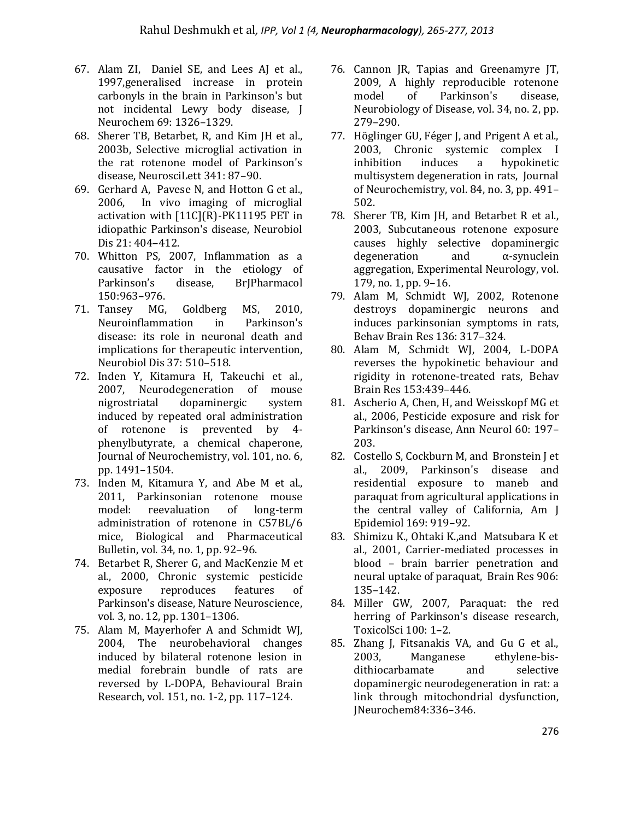- 67. Alam ZI, Daniel SE, and Lees AJ et al., 1997,generalised increase in protein carbonyls in the brain in Parkinson's but not incidental Lewy body disease, J Neurochem 69: 1326–1329.
- 68. Sherer TB, Betarbet, R, and Kim JH et al., 2003b, Selective microglial activation in the rat rotenone model of Parkinson's disease, NeurosciLett 341: 87–90.
- 69. Gerhard A, Pavese N, and Hotton G et al., 2006, In vivo imaging of microglial activation with [11C](R)-PK11195 PET in idiopathic Parkinson's disease, Neurobiol Dis 21: 404–412.
- 70. Whitton PS, 2007, Inflammation as a causative factor in the etiology of Parkinson's disease, BrJPharmacol 150:963–976.
- 71. Tansey MG, Goldberg MS, 2010, Neuroinflammation in Parkinson's disease: its role in neuronal death and implications for therapeutic intervention, Neurobiol Dis 37: 510–518.
- 72. Inden Y, Kitamura H, Takeuchi et al., 2007, Neurodegeneration of mouse nigrostriatal dopaminergic system induced by repeated oral administration of rotenone is prevented by 4 phenylbutyrate, a chemical chaperone, Journal of Neurochemistry, vol. 101, no. 6, pp. 1491–1504.
- 73. Inden M, Kitamura Y, and Abe M et al., 2011, Parkinsonian rotenone mouse model: reevaluation of long-term administration of rotenone in C57BL/6 mice, Biological and Pharmaceutical Bulletin, vol. 34, no. 1, pp. 92–96.
- 74. Betarbet R, Sherer G, and MacKenzie M et al., 2000, Chronic systemic pesticide exposure reproduces features of Parkinson's disease, Nature Neuroscience, vol. 3, no. 12, pp. 1301–1306.
- 75. Alam M, Mayerhofer A and Schmidt WJ, 2004, The neurobehavioral changes induced by bilateral rotenone lesion in medial forebrain bundle of rats are reversed by L-DOPA, Behavioural Brain Research, vol. 151, no. 1-2, pp. 117–124.
- 76. Cannon JR, Tapias and Greenamyre JT, 2009, A highly reproducible rotenone model of Parkinson's disease, Neurobiology of Disease, vol. 34, no. 2, pp. 279–290.
- 77. Höglinger GU, Féger J, and Prigent A et al., 2003, Chronic systemic complex I inhibition induces a hypokinetic multisystem degeneration in rats, Journal of Neurochemistry, vol. 84, no. 3, pp. 491– 502.
- 78. Sherer TB, Kim JH, and Betarbet R et al., 2003, Subcutaneous rotenone exposure causes highly selective dopaminergic degeneration and α-synuclein aggregation, Experimental Neurology, vol. 179, no. 1, pp. 9–16.
- 79. Alam M, Schmidt WJ, 2002, Rotenone destroys dopaminergic neurons and induces parkinsonian symptoms in rats, Behav Brain Res 136: 317–324.
- 80. Alam M, Schmidt WJ, 2004, L-DOPA reverses the hypokinetic behaviour and rigidity in rotenone-treated rats, Behav Brain Res 153:439–446.
- 81. Ascherio A, Chen, H, and Weisskopf MG et al., 2006, Pesticide exposure and risk for Parkinson's disease, Ann Neurol 60: 197– 203.
- 82. Costello S, Cockburn M, and Bronstein J et al., 2009, Parkinson's disease and residential exposure to maneb and paraquat from agricultural applications in the central valley of California, Am J Epidemiol 169: 919–92.
- 83. Shimizu K., Ohtaki K.,and Matsubara K et al., 2001, Carrier-mediated processes in blood – brain barrier penetration and neural uptake of paraquat, Brain Res 906: 135–142.
- 84. Miller GW, 2007, Paraquat: the red herring of Parkinson's disease research, ToxicolSci 100: 1–2.
- 85. Zhang J, Fitsanakis VA, and Gu G et al., 2003, Manganese ethylene-bisdithiocarbamate and selective dopaminergic neurodegeneration in rat: a link through mitochondrial dysfunction, JNeurochem84:336–346.